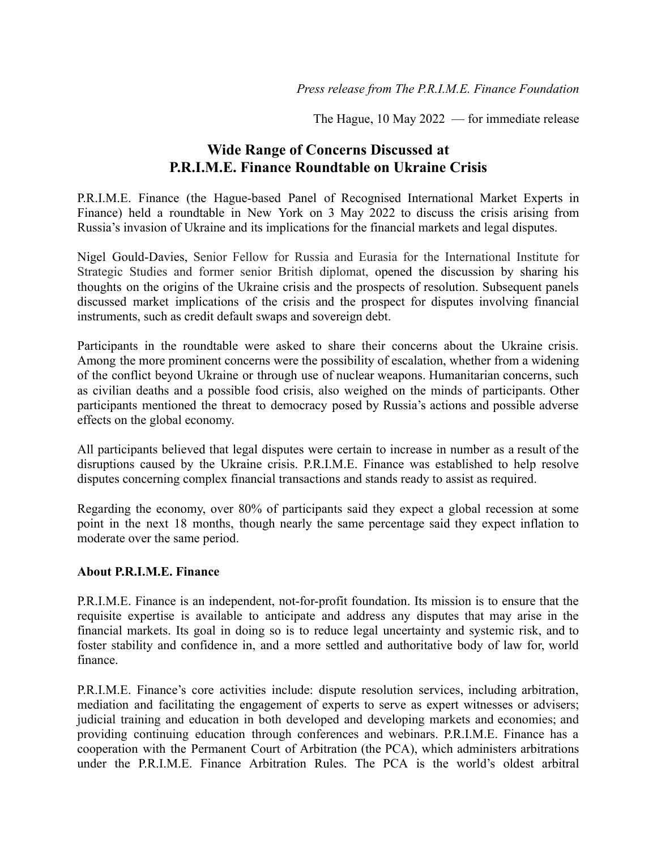The Hague, 10 May 2022 — for immediate release

## **Wide Range of Concerns Discussed at P.R.I.M.E. Finance Roundtable on Ukraine Crisis**

P.R.I.M.E. Finance (the Hague-based Panel of Recognised International Market Experts in Finance) held a roundtable in New York on 3 May 2022 to discuss the crisis arising from Russia's invasion of Ukraine and its implications for the financial markets and legal disputes.

Nigel Gould-Davies, Senior Fellow for Russia and Eurasia for the International Institute for Strategic Studies and former senior British diplomat, opened the discussion by sharing his thoughts on the origins of the Ukraine crisis and the prospects of resolution. Subsequent panels discussed market implications of the crisis and the prospect for disputes involving financial instruments, such as credit default swaps and sovereign debt.

Participants in the roundtable were asked to share their concerns about the Ukraine crisis. Among the more prominent concerns were the possibility of escalation, whether from a widening of the conflict beyond Ukraine or through use of nuclear weapons. Humanitarian concerns, such as civilian deaths and a possible food crisis, also weighed on the minds of participants. Other participants mentioned the threat to democracy posed by Russia's actions and possible adverse effects on the global economy.

All participants believed that legal disputes were certain to increase in number as a result of the disruptions caused by the Ukraine crisis. P.R.I.M.E. Finance was established to help resolve disputes concerning complex financial transactions and stands ready to assist as required.

Regarding the economy, over 80% of participants said they expect a global recession at some point in the next 18 months, though nearly the same percentage said they expect inflation to moderate over the same period.

## **About P.R.I.M.E. Finance**

P.R.I.M.E. Finance is an independent, not-for-profit foundation. Its mission is to ensure that the requisite expertise is available to anticipate and address any disputes that may arise in the financial markets. Its goal in doing so is to reduce legal uncertainty and systemic risk, and to foster stability and confidence in, and a more settled and authoritative body of law for, world finance.

P.R.I.M.E. Finance's core activities include: dispute resolution services, including arbitration, mediation and facilitating the engagement of experts to serve as expert witnesses or advisers; judicial training and education in both developed and developing markets and economies; and providing continuing education through conferences and webinars. P.R.I.M.E. Finance has a cooperation with the Permanent Court of Arbitration (the PCA), which administers arbitrations under the P.R.I.M.E. Finance Arbitration Rules. The PCA is the world's oldest arbitral